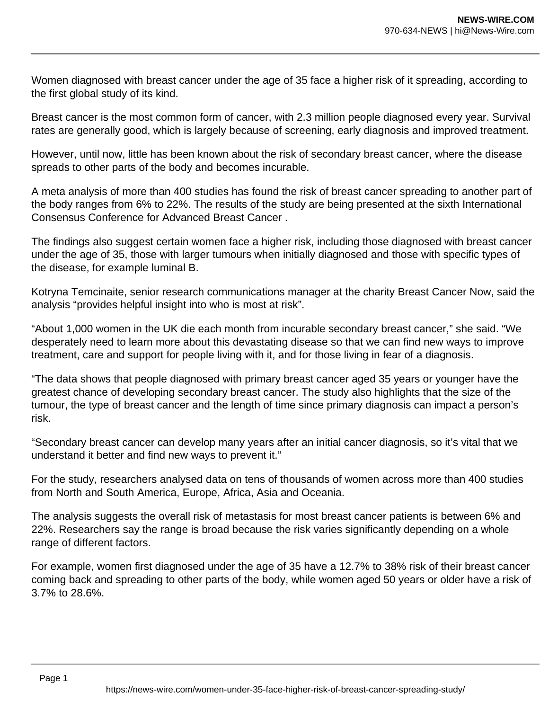Women diagnosed with breast cancer under the age of 35 face a higher risk of it spreading, according to the first global study of its kind.

Breast cancer is the most common form of cancer, with 2.3 million people diagnosed every year. Survival rates are generally good, which is largely because of screening, early diagnosis and improved treatment.

However, until now, little has been known about the risk of secondary breast cancer, where the disease spreads to other parts of the body and becomes incurable.

A meta analysis of more than 400 studies has found the risk of breast cancer spreading to another part of the body ranges from 6% to 22%. The results of the study are being presented at the sixth International Consensus Conference for Advanced Breast Cancer .

The findings also suggest certain women face a higher risk, including those diagnosed with breast cancer under the age of 35, those with larger tumours when initially diagnosed and those with specific types of the disease, for example luminal B.

Kotryna Temcinaite, senior research communications manager at the charity Breast Cancer Now, said the analysis "provides helpful insight into who is most at risk".

"About 1,000 women in the UK die each month from incurable secondary breast cancer," she said. "We desperately need to learn more about this devastating disease so that we can find new ways to improve treatment, care and support for people living with it, and for those living in fear of a diagnosis.

"The data shows that people diagnosed with primary breast cancer aged 35 years or younger have the greatest chance of developing secondary breast cancer. The study also highlights that the size of the tumour, the type of breast cancer and the length of time since primary diagnosis can impact a person's risk.

"Secondary breast cancer can develop many years after an initial cancer diagnosis, so it's vital that we understand it better and find new ways to prevent it."

For the study, researchers analysed data on tens of thousands of women across more than 400 studies from North and South America, Europe, Africa, Asia and Oceania.

The analysis suggests the overall risk of metastasis for most breast cancer patients is between 6% and 22%. Researchers say the range is broad because the risk varies significantly depending on a whole range of different factors.

For example, women first diagnosed under the age of 35 have a 12.7% to 38% risk of their breast cancer coming back and spreading to other parts of the body, while women aged 50 years or older have a risk of 3.7% to 28.6%.